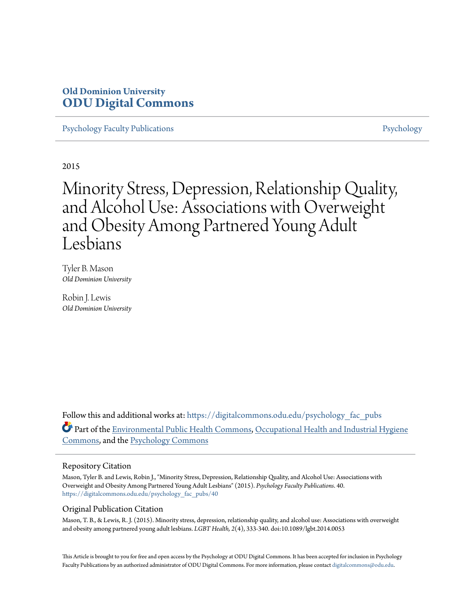# **Old Dominion University [ODU Digital Commons](https://digitalcommons.odu.edu?utm_source=digitalcommons.odu.edu%2Fpsychology_fac_pubs%2F40&utm_medium=PDF&utm_campaign=PDFCoverPages)**

[Psychology Faculty Publications](https://digitalcommons.odu.edu/psychology_fac_pubs?utm_source=digitalcommons.odu.edu%2Fpsychology_fac_pubs%2F40&utm_medium=PDF&utm_campaign=PDFCoverPages) **[Psychology](https://digitalcommons.odu.edu/psychology?utm_source=digitalcommons.odu.edu%2Fpsychology_fac_pubs%2F40&utm_medium=PDF&utm_campaign=PDFCoverPages)** Psychology

2015

Minority Stress, Depression, Relationship Quality, and Alcohol Use: Associations with Overweight and Obesity Among Partnered Young Adult Lesbians

Tyler B. Mason *Old Dominion University*

Robin J. Lewis *Old Dominion University*

Follow this and additional works at: [https://digitalcommons.odu.edu/psychology\\_fac\\_pubs](https://digitalcommons.odu.edu/psychology_fac_pubs?utm_source=digitalcommons.odu.edu%2Fpsychology_fac_pubs%2F40&utm_medium=PDF&utm_campaign=PDFCoverPages) Part of the [Environmental Public Health Commons](http://network.bepress.com/hgg/discipline/739?utm_source=digitalcommons.odu.edu%2Fpsychology_fac_pubs%2F40&utm_medium=PDF&utm_campaign=PDFCoverPages), [Occupational Health and Industrial Hygiene](http://network.bepress.com/hgg/discipline/742?utm_source=digitalcommons.odu.edu%2Fpsychology_fac_pubs%2F40&utm_medium=PDF&utm_campaign=PDFCoverPages) [Commons,](http://network.bepress.com/hgg/discipline/742?utm_source=digitalcommons.odu.edu%2Fpsychology_fac_pubs%2F40&utm_medium=PDF&utm_campaign=PDFCoverPages) and the [Psychology Commons](http://network.bepress.com/hgg/discipline/404?utm_source=digitalcommons.odu.edu%2Fpsychology_fac_pubs%2F40&utm_medium=PDF&utm_campaign=PDFCoverPages)

### Repository Citation

Mason, Tyler B. and Lewis, Robin J., "Minority Stress, Depression, Relationship Quality, and Alcohol Use: Associations with Overweight and Obesity Among Partnered Young Adult Lesbians" (2015). *Psychology Faculty Publications*. 40. [https://digitalcommons.odu.edu/psychology\\_fac\\_pubs/40](https://digitalcommons.odu.edu/psychology_fac_pubs/40?utm_source=digitalcommons.odu.edu%2Fpsychology_fac_pubs%2F40&utm_medium=PDF&utm_campaign=PDFCoverPages)

## Original Publication Citation

Mason, T. B., & Lewis, R. J. (2015). Minority stress, depression, relationship quality, and alcohol use: Associations with overweight and obesity among partnered young adult lesbians. *LGBT Health, 2*(4), 333-340. doi:10.1089/lgbt.2014.0053

This Article is brought to you for free and open access by the Psychology at ODU Digital Commons. It has been accepted for inclusion in Psychology Faculty Publications by an authorized administrator of ODU Digital Commons. For more information, please contact [digitalcommons@odu.edu.](mailto:digitalcommons@odu.edu)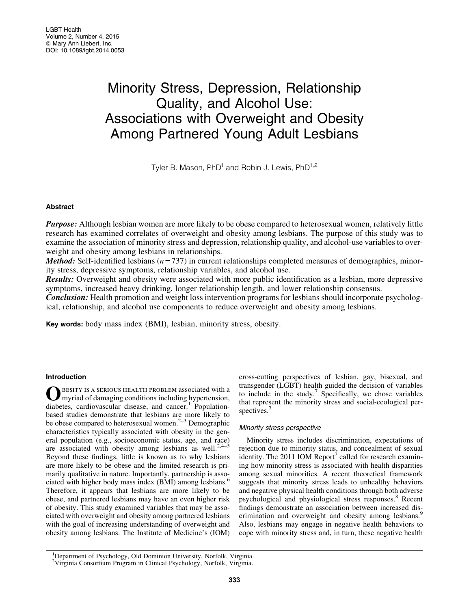# Minority Stress, Depression, Relationship Quality, and Alcohol Use: Associations with Overweight and Obesity Among Partnered Young Adult Lesbians

Tyler B. Mason, PhD<sup>1</sup> and Robin J. Lewis, PhD<sup>1,2</sup>

#### Abstract

**Purpose:** Although lesbian women are more likely to be obese compared to heterosexual women, relatively little research has examined correlates of overweight and obesity among lesbians. The purpose of this study was to examine the association of minority stress and depression, relationship quality, and alcohol-use variables to overweight and obesity among lesbians in relationships.

*Method:* Self-identified lesbians  $(n=737)$  in current relationships completed measures of demographics, minority stress, depressive symptoms, relationship variables, and alcohol use.

Results: Overweight and obesity were associated with more public identification as a lesbian, more depressive symptoms, increased heavy drinking, longer relationship length, and lower relationship consensus.

**Conclusion:** Health promotion and weight loss intervention programs for lesbians should incorporate psychological, relationship, and alcohol use components to reduce overweight and obesity among lesbians.

Key words: body mass index (BMI), lesbian, minority stress, obesity.

#### Introduction

OBESITY IS A SERIOUS HEALTH PROBLEM associated with a myriad of damaging conditions including hypertension, diabetes, cardiovascular disease, and cancer.<sup>1</sup> Populationbased studies demonstrate that lesbians are more likely to be obese compared to heterosexual women. $2-3$  Demographic characteristics typically associated with obesity in the general population (e.g., socioeconomic status, age, and race) are associated with obesity among lesbians as well.<sup>2,4–5</sup> Beyond these findings, little is known as to why lesbians are more likely to be obese and the limited research is primarily qualitative in nature. Importantly, partnership is associated with higher body mass index (BMI) among lesbians.<sup>6</sup> Therefore, it appears that lesbians are more likely to be obese, and partnered lesbians may have an even higher risk of obesity. This study examined variables that may be associated with overweight and obesity among partnered lesbians with the goal of increasing understanding of overweight and obesity among lesbians. The Institute of Medicine's (IOM) cross-cutting perspectives of lesbian, gay, bisexual, and transgender (LGBT) health guided the decision of variables to include in the study.<sup>7</sup> Specifically, we chose variables that represent the minority stress and social-ecological perspectives.<sup>7</sup>

#### Minority stress perspective

Minority stress includes discrimination, expectations of rejection due to minority status, and concealment of sexual identity. The 2011 IOM Report<sup>7</sup> called for research examining how minority stress is associated with health disparities among sexual minorities. A recent theoretical framework suggests that minority stress leads to unhealthy behaviors and negative physical health conditions through both adverse psychological and physiological stress responses.<sup>8</sup> Recent findings demonstrate an association between increased discrimination and overweight and obesity among lesbians.<sup>9</sup> Also, lesbians may engage in negative health behaviors to cope with minority stress and, in turn, these negative health

<sup>&</sup>lt;sup>1</sup>Department of Psychology, Old Dominion University, Norfolk, Virginia. 2 Virginia Consortium Program in Clinical Psychology, Norfolk, Virginia.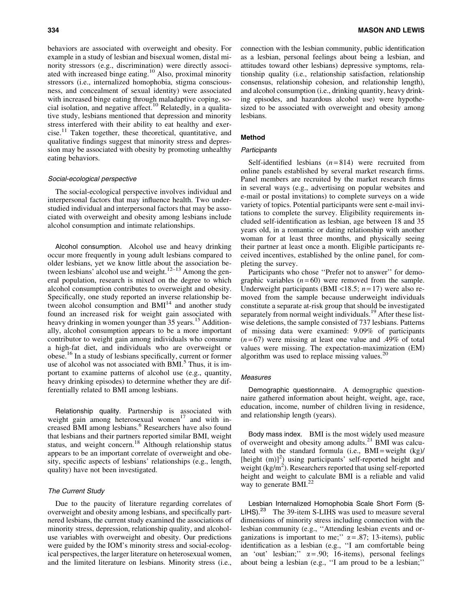behaviors are associated with overweight and obesity. For example in a study of lesbian and bisexual women, distal minority stressors (e.g., discrimination) were directly associated with increased binge eating.<sup>10</sup> Also, proximal minority stressors (i.e., internalized homophobia, stigma consciousness, and concealment of sexual identity) were associated with increased binge eating through maladaptive coping, social isolation, and negative affect.<sup>10</sup> Relatedly, in a qualitative study, lesbians mentioned that depression and minority stress interfered with their ability to eat healthy and exercise.<sup>11</sup> Taken together, these theoretical, quantitative, and qualitative findings suggest that minority stress and depression may be associated with obesity by promoting unhealthy eating behaviors.

#### Social-ecological perspective

The social-ecological perspective involves individual and interpersonal factors that may influence health. Two understudied individual and interpersonal factors that may be associated with overweight and obesity among lesbians include alcohol consumption and intimate relationships.

Alcohol consumption. Alcohol use and heavy drinking occur more frequently in young adult lesbians compared to older lesbians, yet we know little about the association between lesbians' alcohol use and weight. $12-13$  Among the general population, research is mixed on the degree to which alcohol consumption contributes to overweight and obesity. Specifically, one study reported an inverse relationship between alcohol consumption and BMI<sup>14</sup> and another study found an increased risk for weight gain associated with heavy drinking in women younger than 35 years.<sup>15</sup> Additionally, alcohol consumption appears to be a more important contributor to weight gain among individuals who consume a high-fat diet, and individuals who are overweight or obese.<sup>16</sup> In a study of lesbians specifically, current or former use of alcohol was not associated with BMI. $<sup>5</sup>$  Thus, it is im-</sup> portant to examine patterns of alcohol use (e.g., quantity, heavy drinking episodes) to determine whether they are differentially related to BMI among lesbians.

Relationship quality. Partnership is associated with weight gain among heterosexual women $17$  and with increased BMI among lesbians.<sup>6</sup> Researchers have also found that lesbians and their partners reported similar BMI, weight status, and weight concern.<sup>18</sup> Although relationship status appears to be an important correlate of overweight and obesity, specific aspects of lesbians' relationships (e.g., length, quality) have not been investigated.

#### The Current Study

Due to the paucity of literature regarding correlates of overweight and obesity among lesbians, and specifically partnered lesbians, the current study examined the associations of minority stress, depression, relationship quality, and alcoholuse variables with overweight and obesity. Our predictions were guided by the IOM's minority stress and social-ecological perspectives, the larger literature on heterosexual women, and the limited literature on lesbians. Minority stress (i.e., connection with the lesbian community, public identification as a lesbian, personal feelings about being a lesbian, and attitudes toward other lesbians) depressive symptoms, relationship quality (i.e., relationship satisfaction, relationship consensus, relationship cohesion, and relationship length), and alcohol consumption (i.e., drinking quantity, heavy drinking episodes, and hazardous alcohol use) were hypothesized to be associated with overweight and obesity among lesbians.

#### Method

#### **Participants**

Self-identified lesbians  $(n=814)$  were recruited from online panels established by several market research firms. Panel members are recruited by the market research firms in several ways (e.g., advertising on popular websites and e-mail or postal invitations) to complete surveys on a wide variety of topics. Potential participants were sent e-mail invitations to complete the survey. Eligibility requirements included self-identification as lesbian, age between 18 and 35 years old, in a romantic or dating relationship with another woman for at least three months, and physically seeing their partner at least once a month. Eligible participants received incentives, established by the online panel, for completing the survey.

Participants who chose ''Prefer not to answer'' for demographic variables  $(n=60)$  were removed from the sample. Underweight participants (BMI <18.5; *n* = 17) were also removed from the sample because underweight individuals constitute a separate at-risk group that should be investigated separately from normal weight individuals.<sup>19</sup> After these listwise deletions, the sample consisted of 737 lesbians. Patterns of missing data were examined: 9.09% of participants  $(n=67)$  were missing at least one value and .49% of total values were missing. The expectation-maximization (EM) algorithm was used to replace missing values. $20$ 

#### **Measures**

Demographic questionnaire. A demographic questionnaire gathered information about height, weight, age, race, education, income, number of children living in residence, and relationship length (years).

Body mass index. BMI is the most widely used measure of overweight and obesity among adults.<sup>21</sup> BMI was calculated with the standard formula (i.e.,  $BMI = weight (kg)/$ [height (m)]<sup>2</sup>) using participants' self-reported height and weight  $(kg/m<sup>2</sup>)$ . Researchers reported that using self-reported height and weight to calculate BMI is a reliable and valid way to generate  $BMI^{22}$ 

Lesbian Internalized Homophobia Scale Short Form (S-LIHS).<sup>23</sup> The 39-item S-LIHS was used to measure several dimensions of minority stress including connection with the lesbian community (e.g., ''Attending lesbian events and organizations is important to me;"  $\alpha$  = .87; 13-items), public identification as a lesbian (e.g., ''I am comfortable being an 'out' lesbian;"  $\alpha = .90$ ; 16-items), personal feelings about being a lesbian (e.g., ''I am proud to be a lesbian;''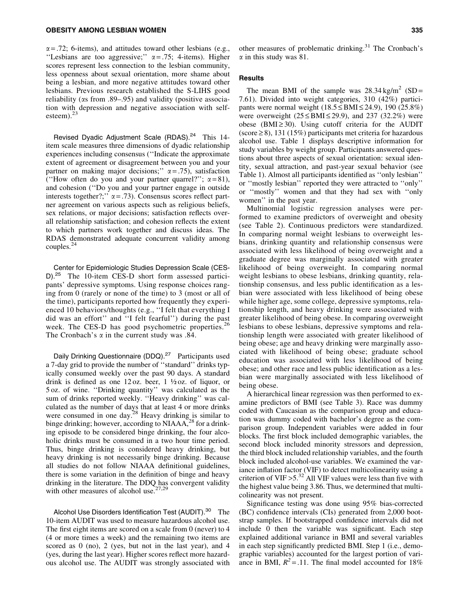$\alpha$  = .72; 6-items), and attitudes toward other lesbians (e.g., "Lesbians are too aggressive;"  $\alpha = .75$ ; 4-items). Higher scores represent less connection to the lesbian community, less openness about sexual orientation, more shame about being a lesbian, and more negative attitudes toward other lesbians. Previous research established the S-LIHS good reliability ( $\alpha$ s from .89–.95) and validity (positive association with depression and negative association with selfesteem). $^{23}$ 

Revised Dyadic Adjustment Scale (RDAS).<sup>24</sup> This 14item scale measures three dimensions of dyadic relationship experiences including consensus (''Indicate the approximate extent of agreement or disagreement between you and your partner on making major decisions;"  $\alpha = .75$ ), satisfaction ("How often do you and your partner quarrel?";  $\alpha = 81$ ), and cohesion (''Do you and your partner engage in outside interests together?;"  $\alpha = .73$ ). Consensus scores reflect partner agreement on various aspects such as religious beliefs, sex relations, or major decisions; satisfaction reflects overall relationship satisfaction; and cohesion reflects the extent to which partners work together and discuss ideas. The RDAS demonstrated adequate concurrent validity among couples.<sup>24</sup>

Center for Epidemiologic Studies Depression Scale (CES-D).<sup>25</sup> The 10-item CES-D short form assessed participants' depressive symptoms. Using response choices ranging from 0 (rarely or none of the time) to 3 (most or all of the time), participants reported how frequently they experienced 10 behaviors/thoughts (e.g., ''I felt that everything I did was an effort'' and ''I felt fearful'') during the past week. The CES-D has good psychometric properties.<sup>26</sup> The Cronbach's  $\alpha$  in the current study was .84.

Daily Drinking Questionnaire (DDQ).<sup>27</sup> Participants used a 7-day grid to provide the number of ''standard'' drinks typically consumed weekly over the past 90 days. A standard drink is defined as one 12 oz. beer,  $1 \frac{1}{2}$  oz. of liquor, or 5 oz. of wine. ''Drinking quantity'' was calculated as the sum of drinks reported weekly. ''Heavy drinking'' was calculated as the number of days that at least 4 or more drinks were consumed in one day.<sup>28</sup> Heavy drinking is similar to binge drinking; however, according to NIAAA,<sup>28</sup> for a drinking episode to be considered binge drinking, the four alcoholic drinks must be consumed in a two hour time period. Thus, binge drinking is considered heavy drinking, but heavy drinking is not necessarily binge drinking. Because all studies do not follow NIAAA definitional guidelines, there is some variation in the definition of binge and heavy drinking in the literature. The DDQ has convergent validity with other measures of alcohol use. $27,29$ 

Alcohol Use Disorders Identification Test (AUDIT).<sup>30</sup> The 10-item AUDIT was used to measure hazardous alcohol use. The first eight items are scored on a scale from 0 (never) to 4 (4 or more times a week) and the remaining two items are scored as 0 (no), 2 (yes, but not in the last year), and 4 (yes, during the last year). Higher scores reflect more hazardous alcohol use. The AUDIT was strongly associated with other measures of problematic drinking.<sup>31</sup> The Cronbach's  $\alpha$  in this study was 81.

#### **Results**

The mean BMI of the sample was  $28.34 \text{ kg/m}^2$  (SD = 7.61). Divided into weight categories, 310 (42%) participants were normal weight  $(18.5 \leq BMI \leq 24.9)$ , 190 (25.8%) were overweight  $(25 \leq BMI \leq 29.9)$ , and 237 (32.2%) were obese (BMI $\geq$ 30). Using cutoff criteria for the AUDIT  $(\text{score} \ge 8)$ , 131 (15%) participants met criteria for hazardous alcohol use. Table 1 displays descriptive information for study variables by weight group. Participants answered questions about three aspects of sexual orientation: sexual identity, sexual attraction, and past-year sexual behavior (see Table 1). Almost all participants identified as ''only lesbian'' or ''mostly lesbian'' reported they were attracted to ''only'' or ''mostly'' women and that they had sex with ''only women'' in the past year.

Multinomial logistic regression analyses were performed to examine predictors of overweight and obesity (see Table 2). Continuous predictors were standardized. In comparing normal weight lesbians to overweight lesbians, drinking quantity and relationship consensus were associated with less likelihood of being overweight and a graduate degree was marginally associated with greater likelihood of being overweight. In comparing normal weight lesbians to obese lesbians, drinking quantity, relationship consensus, and less public identification as a lesbian were associated with less likelihood of being obese while higher age, some college, depressive symptoms, relationship length, and heavy drinking were associated with greater likelihood of being obese. In comparing overweight lesbians to obese lesbians, depressive symptoms and relationship length were associated with greater likelihood of being obese; age and heavy drinking were marginally associated with likelihood of being obese; graduate school education was associated with less likelihood of being obese; and other race and less public identification as a lesbian were marginally associated with less likelihood of being obese.

A hierarchical linear regression was then performed to examine predictors of BMI (see Table 3). Race was dummy coded with Caucasian as the comparison group and education was dummy coded with bachelor's degree as the comparison group. Independent variables were added in four blocks. The first block included demographic variables, the second block included minority stressors and depression, the third block included relationship variables, and the fourth block included alcohol-use variables. We examined the variance inflation factor (VIF) to detect multicolinearity using a criterion of VIF  $>5.^{32}$  All VIF values were less than five with the highest value being 3.86. Thus, we determined that multicolinearity was not present.

Significance testing was done using 95% bias-corrected (BC) confidence intervals (CIs) generated from 2,000 bootstrap samples. If bootstrapped confidence intervals did not include 0 then the variable was significant. Each step explained additional variance in BMI and several variables in each step significantly predicted BMI. Step 1 (i.e., demographic variables) accounted for the largest portion of variance in BMI,  $R^2 = .11$ . The final model accounted for 18%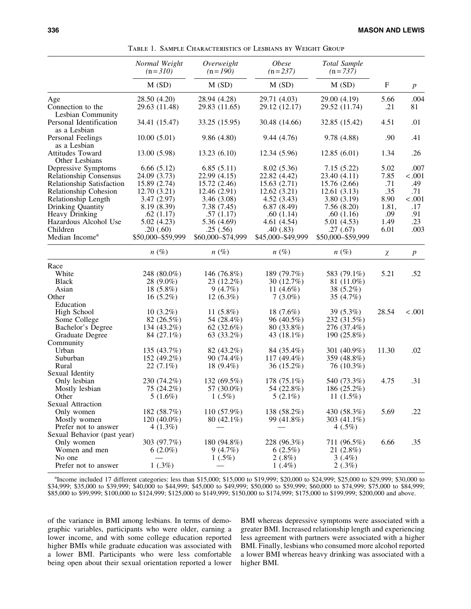|                               | Normal Weight<br>$(n=310)$ | Overweight<br>$(n=190)$ | <i>Obese</i><br>$(n=237)$ | Total Sample<br>$(n = 737)$ | F     | $\boldsymbol{p}$ |
|-------------------------------|----------------------------|-------------------------|---------------------------|-----------------------------|-------|------------------|
|                               | M(SD)                      | M(SD)                   | M(SD)                     | M(SD)                       |       |                  |
| Age                           | 28.50 (4.20)               | 28.94 (4.28)            | 29.71 (4.03)              | 29.00 (4.19)                | 5.66  | .004             |
| Connection to the             | 29.63 (11.48)              | 29.83 (11.65)           | 29.12 (12.17)             | 29.52 (11.74)               | .21   | 81               |
| Lesbian Community             |                            |                         |                           |                             |       |                  |
| Personal Identification       | 34.41 (15.47)              | 33.25 (15.95)           | 30.48 (14.66)             | 32.85 (15.42)               | 4.51  | .01              |
| as a Lesbian                  |                            |                         |                           |                             |       |                  |
| Personal Feelings             | 10.00(5.01)                | 9.86(4.80)              | 9.44(4.76)                | 9.78 (4.88)                 | .90   | .41              |
| as a Lesbian                  |                            |                         |                           |                             |       |                  |
| <b>Attitudes Toward</b>       | 13.00 (5.98)               | 13.23(6.10)             | 12.34 (5.96)              | 12.85(6.01)                 | 1.34  | .26              |
| Other Lesbians                |                            |                         |                           |                             |       |                  |
| Depressive Symptoms           | 6.66(5.12)                 | 6.85(5.11)              | 8.02(5.36)                | 7.15(5.22)                  | 5.02  | .007             |
| <b>Relationship Consensus</b> | 24.09 (3.73)               | 22.99 (4.15)            | 22.82 (4.42)              | 23.40 (4.11)                | 7.85  | < .001           |
| Relationship Satisfaction     | 15.89 (2.74)               | 15.72 (2.46)            | 15.63(2.71)               | 15.76 (2.66)                | .71   | .49              |
| Relationship Cohesion         | 12.70(3.21)                | 12.46 (2.91)            | 12.62(3.21)               | 12.61(3.13)                 | .35   | .71              |
| Relationship Length           | 3.47(2.97)                 | 3.46(3.08)              | 4.52(3.43)                | 3.80(3.19)                  | 8.90  | < .001           |
| Drinking Quantity             | 8.19 (8.39)                | 7.38(7.45)              | 6.87(8.49)                | 7.56(8.20)                  | 1.81, | .17              |
| Heavy Drinking                | .62(1.17)                  | .57(1.17)               | .60(1.14)                 | .60(1.16)                   | .09   | .91              |
| Hazardous Alcohol Use         | 5.02(4.23)                 | 5.36 (4.69)             | 4.61(4.54)                | 5.01(4.53)                  | 1.49  | .23              |
| Children                      | .20(60)                    | .25(.56)                | .40(0.83)                 | .27(.67)                    | 6.01  | .003             |
| Median Income <sup>a</sup>    | \$50,000-\$59,999          | \$60,000-\$74,999       | \$45,000-\$49,999         | \$50,000-\$59,999           |       |                  |
|                               | $n(\%)$                    | $n(\%)$                 | $n(\%)$                   | $n(\%)$                     | χ     | $\boldsymbol{p}$ |
| Race                          |                            |                         |                           |                             |       |                  |
| White                         | 248 (80.0%)                | 146 (76.8%)             | 189 (79.7%)               | 583 (79.1%)                 | 5.21  | .52              |
| <b>Black</b>                  | 28 (9.0%)                  | 23 (12.2%)              | 30 (12.7%)                | 81 (11.0%)                  |       |                  |
| Asian                         | 18 $(5.8\%)$               | 9(4.7%)                 | 11 $(4.6\%)$              | 38 (5.2%)                   |       |                  |
| Other                         | $16(5.2\%)$                | $12(6.3\%)$             | $7(3.0\%)$                | 35 (4.7%)                   |       |                  |
| Education                     |                            |                         |                           |                             |       |                  |
| High School                   | $10(3.2\%)$                | 11 $(5.8\%)$            | 18 $(7.6%)$               | 39 (5.3%)                   | 28.54 | < .001           |
| Some College                  | 82 (26.5%)                 | 54 (28.4%)              | 96 (40.5%)                | 232 (31.5%)                 |       |                  |
| Bachelor's Degree             | 134 (43.2%)                | 62(32.6%)               | 80 (33.8%)                | 276 (37.4%)                 |       |                  |
| Graduate Degree               | 84 (27.1%)                 | 63 (33.2%)              | 43 (18.1%)                | 190 (25.8%)                 |       |                  |
| Community                     |                            |                         |                           |                             |       |                  |
| Urban                         | 135 (43.7%)                | 82 (43.2%)              | 84 (35.4%)                | 301 (40.9%)                 | 11.30 | .02              |
| Suburban                      | 152 (49.2%)                | 90 (74.4%)              | 117 $(49.4\%)$            | 359 (48.8%)                 |       |                  |
| Rural                         | $22(7.1\%)$                | 18 $(9.4\%)$            | 36 (15.2%)                | 76 (10.3%)                  |       |                  |
|                               |                            |                         |                           |                             |       |                  |
| Sexual Identity               |                            | 132 (69.5%)             | 178 (75.1%)               | 540 (73.3%)                 | 4.75  | .31              |
| Only lesbian                  | 230 (74.2%)                |                         |                           |                             |       |                  |
| Mostly lesbian                | 75 (24.2%)                 | 57 (30.0%)              | 54 (22.8%)                | 186 (25.2%)                 |       |                  |
| Other                         | $5(1.6\%)$                 | $1(.5\%)$               | $5(2.1\%)$                | 11 $(1.5\%)$                |       |                  |
| Sexual Attraction             |                            |                         |                           |                             |       |                  |
| Only women                    | 182 (58.7%)                | $110(57.9\%)$           | 138 (58.2%)               | 430 (58.3%)                 | 5.69  | .22              |
| Mostly women                  | 120 (40.0%)                | 80 $(42.1\%)$           | 99 (41.8%)                | 303 (41.1%)                 |       |                  |
| Prefer not to answer          | $4(1.3\%)$                 |                         |                           | $4(.5\%)$                   |       |                  |
| Sexual Behavior (past year)   |                            |                         |                           |                             |       |                  |
| Only women                    | 303 (97.7%)                | 180 (94.8%)             | 228 (96.3%)               | 711 (96.5%)                 | 6.66  | .35              |
| Women and men                 | $6(2.0\%)$                 | 9(4.7%)                 | 6(2.5%)                   | 21 $(2.8\%)$                |       |                  |
| No one                        |                            | $1(.5\%)$               | $2(.8\%)$                 | $3(0.4\%)$                  |       |                  |
| Prefer not to answer          | $1(.3\%)$                  |                         | $1(0.4\%)$                | 2(.3%)                      |       |                  |

Table 1. Sample Characteristics of Lesbians by Weight Group

<sup>a</sup>Income included 17 different categories: less than \$15,000; \$15,000 to \$19,999; \$20,000 to \$24,999; \$25,000 to \$29,999; \$30,000 to \$34,999; \$35,000 to \$39,999; \$40,000 to \$44,999; \$45,000 to \$49,999; \$50,000 to \$59,999; \$60,000 to \$74,999; \$75,000 to \$84,999; \$85,000 to \$99,999; \$100,000 to \$124,999; \$125,000 to \$149,999; \$150,000 to \$174,999; \$175,000 to \$199,999; \$200,000 and above.

of the variance in BMI among lesbians. In terms of demographic variables, participants who were older, earning a lower income, and with some college education reported higher BMIs while graduate education was associated with a lower BMI. Participants who were less comfortable being open about their sexual orientation reported a lower BMI whereas depressive symptoms were associated with a greater BMI. Increased relationship length and experiencing less agreement with partners were associated with a higher BMI. Finally, lesbians who consumed more alcohol reported a lower BMI whereas heavy drinking was associated with a higher BMI.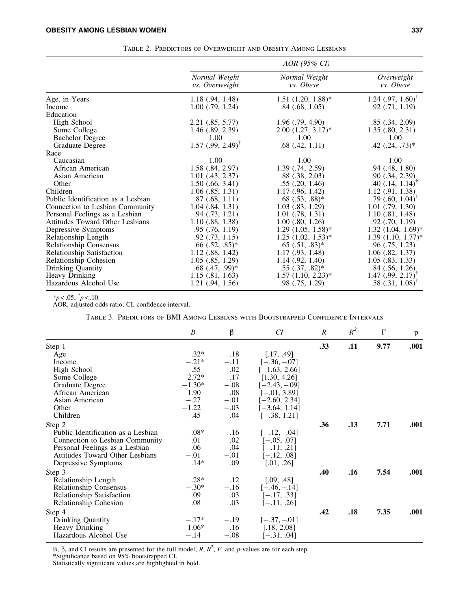|                                        |                                        | AOR (95% CI)                      |                                  |
|----------------------------------------|----------------------------------------|-----------------------------------|----------------------------------|
|                                        | Normal Weight<br><i>vs.</i> Overweight | Normal Weight<br><i>vs. Obese</i> | Overweight<br><i>vs. Obese</i>   |
| Age, in Years                          | $1.18$ $(.94, 1.48)$                   | $1.51$ $(1.20, 1.88)$ *           | 1.24 $(.97, 1.60)^{\dagger}$     |
| Income                                 | $1.00$ $(.79, 1.24)$                   | $.84$ $(.68, 1.05)$               | $.92$ $(.71, 1.19)$              |
| Education                              |                                        |                                   |                                  |
| High School                            | 2.21(.85, 5.77)                        | $1.96$ $(.79, 4.90)$              | .85(.34, 2.09)                   |
| Some College                           | $1.46$ (.89, 2.39)                     | $2.00$ $(1.27, 3.17)^*$           | $1.35$ $(.80, 2.31)$             |
| <b>Bachelor Degree</b>                 | 1.00                                   | 1.00                              | 1.00                             |
| Graduate Degree                        | $1.57$ (.99, 2.49) <sup>†</sup>        | $.68$ $(.42, 1.11)$               | $.42$ $(.24, .73)*$              |
| Race                                   |                                        |                                   |                                  |
| Caucasian                              | 1.00                                   | 1.00                              | 1.00                             |
| African American                       | $1.58$ $(.84, 2.97)$                   | $1.39$ $(.74, 2.59)$              | $.94$ $(.48, 1.80)$              |
| Asian American                         | $1.01$ (.43, 2.37)                     | $.88$ $(.38, 2.03)$               | .90(.34, 2.39)                   |
| Other                                  | $1.50$ (.66, 3.41)                     | $.55$ $(.20, 1.46)$               | $.40$ $(.14, 1.14)$ <sup>'</sup> |
| Children                               | $1.06$ $(.85, 1.31)$                   | 1.17(0.96, 1.42)                  | $1.12$ (.91, 1.38)               |
| Public Identification as a Lesbian     | $.87 \; (.68, 1.11)$                   | $.68(.53, .88)$ *                 | $.79$ $(.60, 1.04)^T$            |
| Connection to Lesbian Community        | $1.04$ $(.84, 1.31)$                   | $1.03$ $(.83, 1.29)$              | $1.01$ $(.79, 1.30)$             |
| Personal Feelings as a Lesbian         | $.94$ $(.73, 1.21)$                    | $1.01$ $(.78, 1.31)$              | $1.10$ $(.81, 1.48)$             |
| <b>Attitudes Toward Other Lesbians</b> | $1.10$ (.88, 1.38)                     | $1.00$ $(.80, 1.26)$              | $.92$ $(.70, 1.19)$              |
| Depressive Symptoms                    | .95(.76, 1.19)                         | $1.29$ $(1.05, 1.58)^*$           | $1.32$ $(1.04, 1.69)^*$          |
| Relationship Length                    | $.92$ $(.73, 1.15)$                    | $1.25$ $(1.02, 1.53)^*$           | $1.39(1.10, 1.77)^*$             |
| <b>Relationship Consensus</b>          | $.66$ $(.52, .85)^*$                   | $.65(.51, .83)*$                  | $.96$ $(.75, 1.23)$              |
| Relationship Satisfaction              | $1.12$ $(.88, 1.42)$                   | 1.17(0.93, 1.48)                  | $1.06$ $(.82, 1.37)$             |
| Relationship Cohesion                  | $1.05$ $(.85, 1.29)$                   | $1.14$ $(.92, 1.40)$              | $1.05$ $(.83, 1.33)$             |
| Drinking Quantity                      | $.68$ $(.47, .99)$ *                   | $.55(.37, .82)^*$                 | $.84$ (.56, 1.26)                |
| Heavy Drinking                         | 1.15(0.81, 1.63)                       | $1.57$ $(1.10, 2.23)^*$           | $1.47$ (.99, 2.17) <sup>T</sup>  |
| Hazardous Alcohol Use                  | $1.21$ (.94, 1.56)                     | $.98$ $(.75, 1.29)$               | .58(.31, 1.08)                   |

Table 2. Predictors of Overweight and Obesity Among Lesbians

 $*_{p}$  < .05;  $\dagger_{p}$  < .10.

AOR, adjusted odds ratio; CI, confidence interval.

Table 3. Predictors of BMI Among Lesbians with Bootstrapped Confidence Intervals

|                                        | B        | $\beta$ | CI               | $\boldsymbol{R}$ | $R^2$ | $\mathbf{F}$ | p    |
|----------------------------------------|----------|---------|------------------|------------------|-------|--------------|------|
| Step 1                                 |          |         |                  | .33              | .11   | 9.77         | .001 |
| Age                                    | $.32*$   | .18     | [.17, .49]       |                  |       |              |      |
| Income                                 | $-.21*$  | $-.11$  | $[-.36, -.07]$   |                  |       |              |      |
| High School                            | .55      | .02     | $[-1.63, 2.66]$  |                  |       |              |      |
| Some College                           | $2.72*$  | .17     | [1.30, 4.26]     |                  |       |              |      |
| Graduate Degree                        | $-1.30*$ | $-.08$  | $[-2.43, -0.09]$ |                  |       |              |      |
| African American                       | 1.90     | .08     | $[-.01, 3.89]$   |                  |       |              |      |
| Asian American                         | $-.27$   | $-.01$  | $[-2.60, 2.34]$  |                  |       |              |      |
| Other                                  | $-1.22$  | $-.03$  | $[-3.64, 1.14]$  |                  |       |              |      |
| Children                               | .45      | .04     | $[-.38, 1.21]$   |                  |       |              |      |
| Step 2                                 |          |         | .36              | .13              | 7.71  | .001         |      |
| Public Identification as a Lesbian     | $-.08*$  | $-.16$  | $[-.12, -04]$    |                  |       |              |      |
| Connection to Lesbian Community        | .01      | .02     | $[-.05, .07]$    |                  |       |              |      |
| Personal Feelings as a Lesbian         | .06      | .04     | $[-.11, .21]$    |                  |       |              |      |
| <b>Attitudes Toward Other Lesbians</b> | $-.01$   | $-.01$  | $[-.12, .08]$    |                  |       |              |      |
| Depressive Symptoms                    | $.14*$   | .09     | [.01, .26]       |                  |       |              |      |
| Step 3                                 |          |         |                  | .40              | .16   | 7.54         | .001 |
| Relationship Length                    | $.28*$   | .12     | [.09, .48]       |                  |       |              |      |
| <b>Relationship Consensus</b>          | $-.30*$  | $-.16$  | $[-.46, -.14]$   |                  |       |              |      |
| Relationship Satisfaction              | .09      | .03     | $[-.17, .33]$    |                  |       |              |      |
| Relationship Cohesion                  | .08      | .03     | $[-.11, .26]$    |                  |       |              |      |
| Step 4                                 |          |         |                  | .42              | .18   | 7.35         | .001 |
| Drinking Quantity                      | $-.17*$  | $-.19$  | $[-.37, -01]$    |                  |       |              |      |
| Heavy Drinking                         | $1.06*$  | .16     | [.18, 2.08]      |                  |       |              |      |
| Hazardous Alcohol Use                  | $-.14$   | $-.08$  | $[-.31, .04]$    |                  |       |              |      |
|                                        |          |         |                  |                  |       |              |      |

B,  $\beta$ , and CI results are presented for the full model; *R*,  $R^2$ , *F*, and *p*-values are for each step.

\*Significance based on 95% bootstrapped CI.

Statistically significant values are highlighted in bold.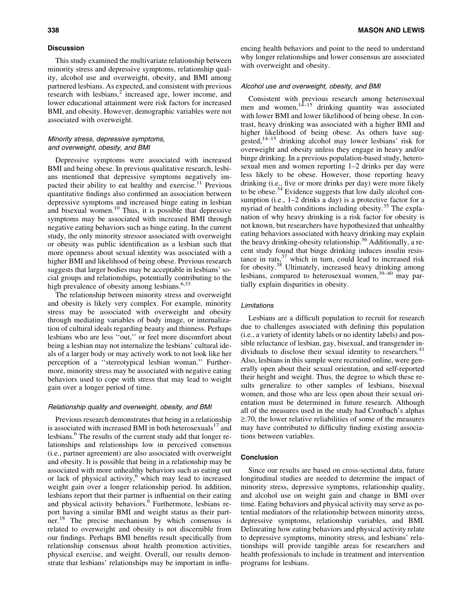#### **Discussion**

This study examined the multivariate relationship between minority stress and depressive symptoms, relationship quality, alcohol use and overweight, obesity, and BMI among partnered lesbians. As expected, and consistent with previous research with lesbians, $\frac{2}{3}$  increased age, lower income, and lower educational attainment were risk factors for increased BMI, and obesity. However, demographic variables were not associated with overweight.

#### Minority stress, depressive symptoms, and overweight, obesity, and BMI

Depressive symptoms were associated with increased BMI and being obese. In previous qualitative research, lesbians mentioned that depressive symptoms negatively impacted their ability to eat healthy and exercise.<sup>11</sup> Previous quantitative findings also confirmed an association between depressive symptoms and increased binge eating in lesbian and bisexual women.<sup>10</sup> Thus, it is possible that depressive symptoms may be associated with increased BMI through negative eating behaviors such as binge eating. In the current study, the only minority stressor associated with overweight or obesity was public identification as a lesbian such that more openness about sexual identity was associated with a higher BMI and likelihood of being obese. Previous research suggests that larger bodies may be acceptable in lesbians' social groups and relationships, potentially contributing to the high prevalence of obesity among lesbians.<sup>6,33</sup>

The relationship between minority stress and overweight and obesity is likely very complex. For example, minority stress may be associated with overweight and obesity through mediating variables of body image, or internalization of cultural ideals regarding beauty and thinness. Perhaps lesbians who are less ''out,'' or feel more discomfort about being a lesbian may not internalize the lesbians' cultural ideals of a larger body or may actively work to not look like her perception of a ''stereotypical lesbian woman.'' Furthermore, minority stress may be associated with negative eating behaviors used to cope with stress that may lead to weight gain over a longer period of time.

#### Relationship quality and overweight, obesity, and BMI

Previous research demonstrates that being in a relationship is associated with increased BMI in both heterosexuals<sup>17</sup> and lesbians.<sup>6</sup> The results of the current study add that longer relationships and relationships low in perceived consensus (i.e., partner agreement) are also associated with overweight and obesity. It is possible that being in a relationship may be associated with more unhealthy behaviors such as eating out or lack of physical activity, $6$  which may lead to increased weight gain over a longer relationship period. In addition, lesbians report that their partner is influential on their eating and physical activity behaviors.<sup>6</sup> Furthermore, lesbians report having a similar BMI and weight status as their partner.<sup>18</sup> The precise mechanism by which consensus is related to overweight and obesity is not discernible from our findings. Perhaps BMI benefits result specifically from relationship consensus about health promotion activities, physical exercise, and weight. Overall, our results demonstrate that lesbians' relationships may be important in influencing health behaviors and point to the need to understand why longer relationships and lower consensus are associated with overweight and obesity.

#### Alcohol use and overweight, obesity, and BMI

Consistent with previous research among heterosexual men and women,  $1^{4-15}$  drinking quantity was associated with lower BMI and lower likelihood of being obese. In contrast, heavy drinking was associated with a higher BMI and higher likelihood of being obese. As others have suggested, $14-15$  drinking alcohol may lower lesbians' risk for overweight and obesity unless they engage in heavy and/or binge drinking. In a previous population-based study, heterosexual men and women reporting 1–2 drinks per day were less likely to be obese. However, those reporting heavy drinking (i.e., five or more drinks per day) were more likely to be obese.<sup>34</sup> Evidence suggests that low daily alcohol consumption (i.e., 1–2 drinks a day) is a protective factor for a myriad of health conditions including obesity.<sup>35</sup> The explanation of why heavy drinking is a risk factor for obesity is not known, but researchers have hypothesized that unhealthy eating behaviors associated with heavy drinking may explain the heavy drinking-obesity relationship.<sup>36</sup> Additionally, a recent study found that binge drinking induces insulin resistance in rats, $37$  which in turn, could lead to increased risk for obesity.<sup>38</sup> Ultimately, increased heavy drinking among lesbians, compared to heterosexual women,  $39-40$  may partially explain disparities in obesity.

#### Limitations

Lesbians are a difficult population to recruit for research due to challenges associated with defining this population (i.e., a variety of identity labels or no identity labels) and possible reluctance of lesbian, gay, bisexual, and transgender individuals to disclose their sexual identity to researchers.<sup>41</sup> Also, lesbians in this sample were recruited online, were generally open about their sexual orientation, and self-reported their height and weight. Thus, the degree to which these results generalize to other samples of lesbians, bisexual women, and those who are less open about their sexual orientation must be determined in future research. Although all of the measures used in the study had Cronbach's alphas  $\geq$ .70, the lower relative reliabilities of some of the measures may have contributed to difficulty finding existing associations between variables.

#### Conclusion

Since our results are based on cross-sectional data, future longitudinal studies are needed to determine the impact of minority stress, depressive symptoms, relationship quality, and alcohol use on weight gain and change in BMI over time. Eating behaviors and physical activity may serve as potential mediators of the relationship between minority stress, depressive symptoms, relationship variables, and BMI. Delineating how eating behaviors and physical activity relate to depressive symptoms, minority stress, and lesbians' relationships will provide tangible areas for researchers and health professionals to include in treatment and intervention programs for lesbians.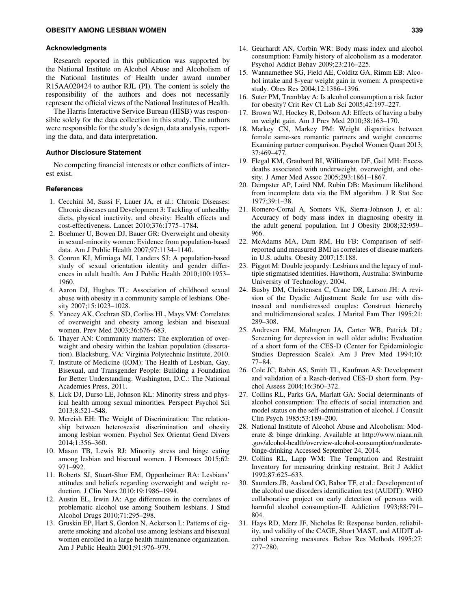#### Acknowledgments

Research reported in this publication was supported by the National Institute on Alcohol Abuse and Alcoholism of the National Institutes of Health under award number R15AA020424 to author RJL (PI). The content is solely the responsibility of the authors and does not necessarily represent the official views of the National Institutes of Health.

The Harris Interactive Service Bureau (HISB) was responsible solely for the data collection in this study. The authors were responsible for the study's design, data analysis, reporting the data, and data interpretation.

#### Author Disclosure Statement

No competing financial interests or other conflicts of interest exist.

#### **References**

- 1. Cecchini M, Sassi F, Lauer JA, et al.: Chronic Diseases: Chronic diseases and Development 3: Tackling of unhealthy diets, physical inactivity, and obesity: Health effects and cost-effectiveness. Lancet 2010;376:1775–1784.
- 2. Boehmer U, Bowen DJ, Bauer GR: Overweight and obesity in sexual-minority women: Evidence from population-based data. Am J Public Health 2007;97:1134–1140.
- 3. Conron KJ, Mimiaga MJ, Landers SJ: A population-based study of sexual orientation identity and gender differences in adult health. Am J Public Health 2010;100:1953– 1960.
- 4. Aaron DJ, Hughes TL: Association of childhood sexual abuse with obesity in a community sample of lesbians. Obesity 2007;15:1023–1028.
- 5. Yancey AK, Cochran SD, Corliss HL, Mays VM: Correlates of overweight and obesity among lesbian and bisexual women. Prev Med 2003;36:676–683.
- 6. Thayer AN: Community matters: The exploration of overweight and obesity within the lesbian population (dissertation). Blacksburg, VA: Virginia Polytechnic Institute, 2010.
- 7. Institute of Medicine (IOM): The Health of Lesbian, Gay, Bisexual, and Transgender People: Building a Foundation for Better Understanding. Washington, D.C.: The National Academies Press, 2011.
- 8. Lick DJ, Durso LE, Johnson KL: Minority stress and physical health among sexual minorities. Perspect Psychol Sci 2013;8:521–548.
- 9. Mereish EH: The Weight of Discrimination: The relationship between heterosexist discrimination and obesity among lesbian women. Psychol Sex Orientat Gend Divers 2014;1:356–360.
- 10. Mason TB, Lewis RJ: Minority stress and binge eating among lesbian and bisexual women. J Homosex 2015;62: 971–992.
- 11. Roberts SJ, Stuart-Shor EM, Oppenheimer RA: Lesbians' attitudes and beliefs regarding overweight and weight reduction. J Clin Nurs 2010;19:1986–1994.
- 12. Austin EL, Irwin JA: Age differences in the correlates of problematic alcohol use among Southern lesbians. J Stud Alcohol Drugs 2010;71:295–298.
- 13. Gruskin EP, Hart S, Gordon N, Ackerson L: Patterns of cigarette smoking and alcohol use among lesbians and bisexual women enrolled in a large health maintenance organization. Am J Public Health 2001;91:976–979.
- 14. Gearhardt AN, Corbin WR: Body mass index and alcohol consumption: Family history of alcoholism as a moderator. Psychol Addict Behav 2009;23:216–225.
- 15. Wannamethee SG, Field AE, Colditz GA, Rimm EB: Alcohol intake and 8-year weight gain in women: A prospective study. Obes Res 2004;12:1386–1396.
- 16. Suter PM, Tremblay A: Is alcohol consumption a risk factor for obesity? Crit Rev Cl Lab Sci 2005;42:197–227.
- 17. Brown WJ, Hockey R, Dobson AJ: Effects of having a baby on weight gain. Am J Prev Med 2010;38:163–170.
- 18. Markey CN, Markey PM: Weight disparities between female same-sex romantic partners and weight concerns: Examining partner comparison. Psychol Women Quart 2013; 37:469–477.
- 19. Flegal KM, Graubard BI, Williamson DF, Gail MH: Excess deaths associated with underweight, overweight, and obesity. J Amer Med Assoc 2005;293:1861–1867.
- 20. Dempster AP, Laird NM, Rubin DB: Maximum likelihood from incomplete data via the EM algorithm. J R Stat Soc 1977;39:1–38.
- 21. Romero-Corral A, Somers VK, Sierra-Johnson J, et al.: Accuracy of body mass index in diagnosing obesity in the adult general population. Int J Obesity 2008;32:959– 966.
- 22. McAdams MA, Dam RM, Hu FB: Comparison of selfreported and measured BMI as correlates of disease markers in U.S. adults. Obesity 2007;15:188.
- 23. Piggot M: Double jeopardy: Lesbians and the legacy of multiple stigmatised identities. Hawthorn, Australia: Swinburne University of Technology, 2004.
- 24. Busby DM, Christensen C, Crane DR, Larson JH: A revision of the Dyadic Adjustment Scale for use with distressed and nondistressed couples: Construct hierarchy and multidimensional scales. J Marital Fam Ther 1995;21: 289–308.
- 25. Andresen EM, Malmgren JA, Carter WB, Patrick DL: Screening for depression in well older adults: Evaluation of a short form of the CES-D (Center for Epidemiologic Studies Depression Scale). Am J Prev Med 1994;10: 77–84.
- 26. Cole JC, Rabin AS, Smith TL, Kaufman AS: Development and validation of a Rasch-derived CES-D short form. Psychol Assess 2004;16:360–372.
- 27. Collins RL, Parks GA, Marlatt GA: Social determinants of alcohol consumption: The effects of social interaction and model status on the self-administration of alcohol. J Consult Clin Psych 1985;53:189–200.
- 28. National Institute of Alcohol Abuse and Alcoholism: Moderate & binge drinking. Available at http://www.niaaa.nih .gov/alcohol-health/overview-alcohol-consumption/moderatebinge-drinking Accessed September 24, 2014.
- 29. Collins RL, Lapp WM: The Temptation and Restraint Inventory for measuring drinking restraint. Brit J Addict 1992;87:625–633.
- 30. Saunders JB, Aasland OG, Babor TF, et al.: Development of the alcohol use disorders identification test (AUDIT): WHO collaborative project on early detection of persons with harmful alcohol consumption-II. Addiction 1993;88:791– 804.
- 31. Hays RD, Merz JF, Nicholas R: Response burden, reliability, and validity of the CAGE, Short MAST, and AUDIT alcohol screening measures. Behav Res Methods 1995;27: 277–280.